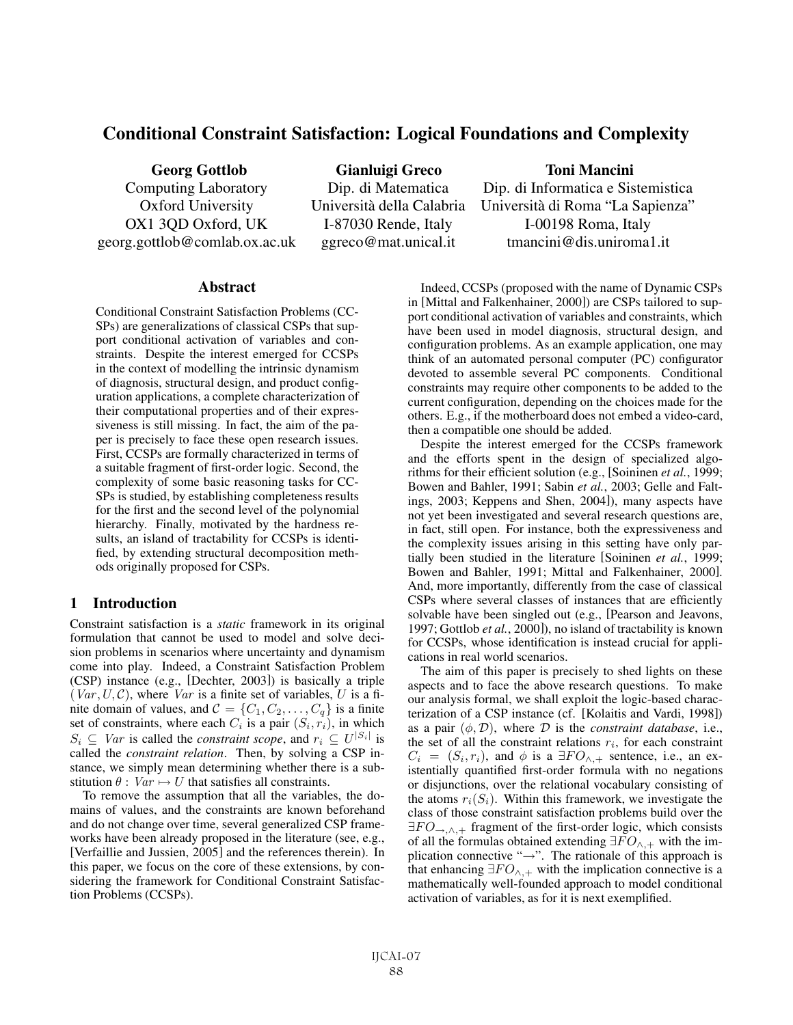# Conditional Constraint Satisfaction: Logical Foundations and Complexity

OX1 3QD Oxford, UK I-87030 Rende, Italy I-00198 Roma, Italy georg.gottlob@comlab.ox.ac.uk ggreco@mat.unical.it tmancini@dis.uniroma1.it

Georg Gottlob Gianluigi Greco Toni Mancini

Computing Laboratory Dip. di Matematica Dip. di Informatica e Sistemistica Oxford University Università della Calabria Università di Roma "La Sapienza"

### **Abstract**

Conditional Constraint Satisfaction Problems (CC-SPs) are generalizations of classical CSPs that support conditional activation of variables and constraints. Despite the interest emerged for CCSPs in the context of modelling the intrinsic dynamism of diagnosis, structural design, and product configuration applications, a complete characterization of their computational properties and of their expressiveness is still missing. In fact, the aim of the paper is precisely to face these open research issues. First, CCSPs are formally characterized in terms of a suitable fragment of first-order logic. Second, the complexity of some basic reasoning tasks for CC-SPs is studied, by establishing completeness results for the first and the second level of the polynomial hierarchy. Finally, motivated by the hardness results, an island of tractability for CCSPs is identified, by extending structural decomposition methods originally proposed for CSPs.

### 1 Introduction

Constraint satisfaction is a *static* framework in its original formulation that cannot be used to model and solve decision problems in scenarios where uncertainty and dynamism come into play. Indeed, a Constraint Satisfaction Problem (CSP) instance (e.g., [Dechter, 2003]) is basically a triple  $(Var, U, C)$ , where Var is a finite set of variables, U is a finite domain of values, and  $\mathcal{C} = \{C_1, C_2, \dots, C_q\}$  is a finite set of constraints, where each  $C_i$  is a pair  $(S_i, r_i)$ , in which  $S_i \subseteq Var$  is called the *constraint scope*, and  $r_i \subseteq U^{|S_i|}$  is called the *constraint relation*. Then, by solving a CSP instance, we simply mean determining whether there is a substitution  $\theta$  :  $Var \mapsto U$  that satisfies all constraints.

To remove the assumption that all the variables, the domains of values, and the constraints are known beforehand and do not change over time, several generalized CSP frameworks have been already proposed in the literature (see, e.g., [Verfaillie and Jussien, 2005] and the references therein). In this paper, we focus on the core of these extensions, by considering the framework for Conditional Constraint Satisfaction Problems (CCSPs).

Indeed, CCSPs (proposed with the name of Dynamic CSPs in [Mittal and Falkenhainer, 2000]) are CSPs tailored to support conditional activation of variables and constraints, which have been used in model diagnosis, structural design, and configuration problems. As an example application, one may think of an automated personal computer (PC) configurator devoted to assemble several PC components. Conditional constraints may require other components to be added to the current configuration, depending on the choices made for the others. E.g., if the motherboard does not embed a video-card, then a compatible one should be added.

Despite the interest emerged for the CCSPs framework and the efforts spent in the design of specialized algorithms for their efficient solution (e.g., [Soininen *et al.*, 1999; Bowen and Bahler, 1991; Sabin *et al.*, 2003; Gelle and Faltings, 2003; Keppens and Shen, 2004]), many aspects have not yet been investigated and several research questions are, in fact, still open. For instance, both the expressiveness and the complexity issues arising in this setting have only partially been studied in the literature [Soininen *et al.*, 1999; Bowen and Bahler, 1991; Mittal and Falkenhainer, 2000]. And, more importantly, differently from the case of classical CSPs where several classes of instances that are efficiently solvable have been singled out (e.g., [Pearson and Jeavons, 1997; Gottlob *et al.*, 2000]), no island of tractability is known for CCSPs, whose identification is instead crucial for applications in real world scenarios.

The aim of this paper is precisely to shed lights on these aspects and to face the above research questions. To make our analysis formal, we shall exploit the logic-based characterization of a CSP instance (cf. [Kolaitis and Vardi, 1998]) as a pair  $(\phi, \mathcal{D})$ , where  $\mathcal D$  is the *constraint database*, i.e., the set of all the constraint relations  $r_i$ , for each constraint  $C_i = (S_i, r_i)$ , and  $\phi$  is a  $\exists F O_{\land,+}$  sentence, i.e., an existentially quantified first-order formula with no negations or disjunctions, over the relational vocabulary consisting of the atoms  $r_i(S_i)$ . Within this framework, we investigate the class of those constraint satisfaction problems build over the  $\exists FO_{\rightarrow,\wedge,+}$  fragment of the first-order logic, which consists of all the formulas obtained extending  $\exists FO_{\wedge,+}$  with the implication connective "→". The rationale of this approach is that enhancing  $\exists FO_{\wedge,+}$  with the implication connective is a mathematically well-founded approach to model conditional activation of variables, as for it is next exemplified.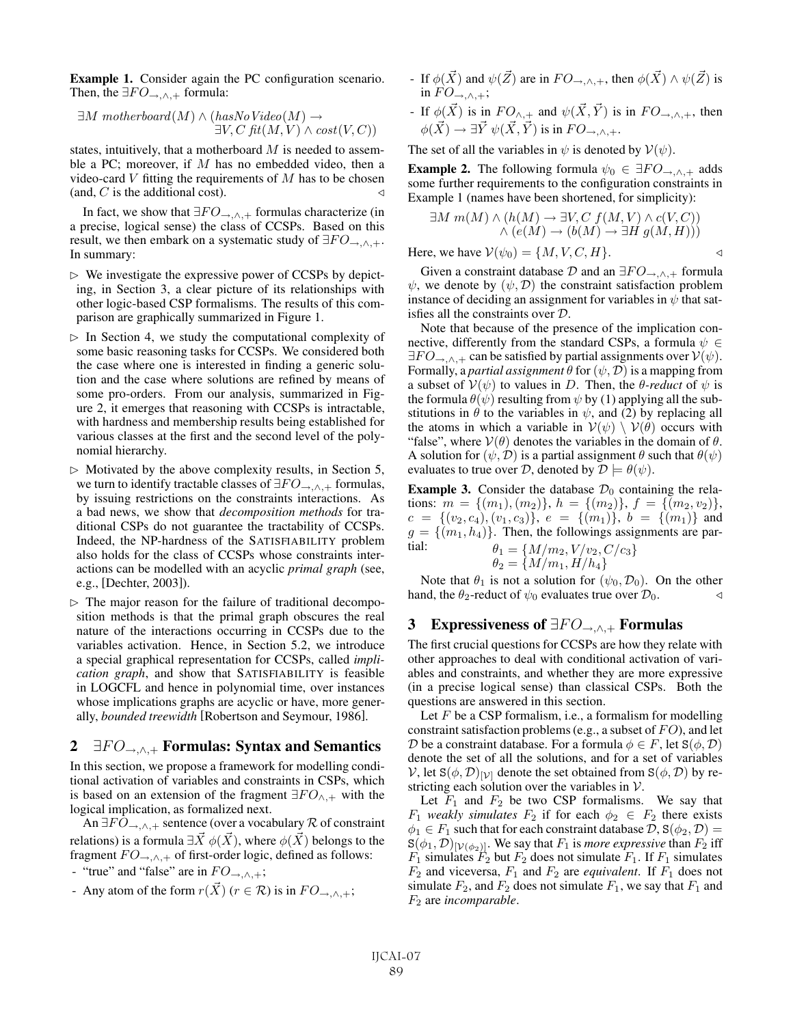Example 1. Consider again the PC configuration scenario. Then, the  $\exists FO_{\rightarrow,\wedge,+}$  formula:

$$
\exists M \; motherboard(M) \land (hasNo \; Video(M) \rightarrow \exists V, C \; fit(M, V) \land cost(V, C))
$$

states, intuitively, that a motherboard  $M$  is needed to assemble a PC; moreover, if  $M$  has no embedded video, then a video-card  $V$  fitting the requirements of  $M$  has to be chosen (and, C is the additional cost).  $\triangleleft$ 

In fact, we show that  $\exists FO_{\rightarrow,\wedge,+}$  formulas characterize (in a precise, logical sense) the class of CCSPs. Based on this result, we then embark on a systematic study of  $\exists FO_{\rightarrow,\wedge,+}.$ In summary:

- $\triangleright$  We investigate the expressive power of CCSPs by depicting, in Section 3, a clear picture of its relationships with other logic-based CSP formalisms. The results of this comparison are graphically summarized in Figure 1.
- $\triangleright$  In Section 4, we study the computational complexity of some basic reasoning tasks for CCSPs. We considered both the case where one is interested in finding a generic solution and the case where solutions are refined by means of some pro-orders. From our analysis, summarized in Figure 2, it emerges that reasoning with CCSPs is intractable, with hardness and membership results being established for various classes at the first and the second level of the polynomial hierarchy.
- $\triangleright$  Motivated by the above complexity results, in Section 5, we turn to identify tractable classes of  $\exists FO_{\rightarrow,\wedge,+}$  formulas, by issuing restrictions on the constraints interactions. As a bad news, we show that *decomposition methods* for traditional CSPs do not guarantee the tractability of CCSPs. Indeed, the NP-hardness of the SATISFIABILITY problem also holds for the class of CCSPs whose constraints interactions can be modelled with an acyclic *primal graph* (see, e.g., [Dechter, 2003]).
- $\triangleright$  The major reason for the failure of traditional decomposition methods is that the primal graph obscures the real nature of the interactions occurring in CCSPs due to the variables activation. Hence, in Section 5.2, we introduce a special graphical representation for CCSPs, called *implication graph*, and show that SATISFIABILITY is feasible in LOGCFL and hence in polynomial time, over instances whose implications graphs are acyclic or have, more generally, *bounded treewidth* [Robertson and Seymour, 1986].

# 2  $\exists FO_{\rightarrow,\wedge,+}$  Formulas: Syntax and Semantics

In this section, we propose a framework for modelling conditional activation of variables and constraints in CSPs, which is based on an extension of the fragment  $\exists F O_{\wedge,+}$  with the logical implication, as formalized next.

An  $\exists FO_{\rightarrow,\wedge,+}$  sentence (over a vocabulary R of constraint relations) is a formula  $\exists \vec{X}$   $\phi(\vec{X})$ , where  $\phi(\vec{X})$  belongs to the fragment  $FO_{\rightarrow,\wedge,+}$  of first-order logic, defined as follows:

- "true" and "false" are in  $FO_{\rightarrow,\wedge,+}$ ;
- Any atom of the form  $r(\vec{X})$  ( $r \in \mathcal{R}$ ) is in  $FO_{\rightarrow,\wedge,+}$ ;
- If  $\phi(\vec{X})$  and  $\psi(\vec{Z})$  are in  $FO_{\rightarrow,\wedge,+}$ , then  $\phi(\vec{X}) \wedge \psi(\vec{Z})$  is in  $FO_{\rightarrow,\wedge,+};$
- If  $\phi(\vec{X})$  is in  $FO_{\wedge,+}$  and  $\psi(\vec{X}, \vec{Y})$  is in  $FO_{\rightarrow,\wedge,+}$ , then  $\phi(\vec{X}) \rightarrow \exists \vec{Y} \; \psi(\vec{X}, \vec{Y})$  is in  $FO_{\rightarrow,\wedge,+}$ .

The set of all the variables in  $\psi$  is denoted by  $V(\psi)$ .

**Example 2.** The following formula  $\psi_0 \in \exists F O_{\rightarrow,\wedge,+}$  adds some further requirements to the configuration constraints in Example 1 (names have been shortened, for simplicity):

$$
\exists M \ m(M) \land (h(M) \to \exists V, C \ f(M, V) \land c(V, C))
$$
  
 
$$
\land (e(M) \to (b(M) \to \exists H \ g(M, H)))
$$
  
Here, we have 
$$
\mathcal{V}(\psi_0) = \{M, V, C, H\}.
$$

Given a constraint database  $\mathcal D$  and an  $\exists F O_{\rightarrow,\wedge,+}$  formula  $\psi$ , we denote by  $(\psi, \mathcal{D})$  the constraint satisfaction problem instance of deciding an assignment for variables in  $\psi$  that satisfies all the constraints over D.

Note that because of the presence of the implication connective, differently from the standard CSPs, a formula  $\psi \in$  $\exists FO_{\rightarrow,\wedge,+}$  can be satisfied by partial assignments over  $V(\psi)$ . Formally, a *partial assignment*  $\theta$  for  $(\psi, \mathcal{D})$  is a mapping from a subset of  $V(\psi)$  to values in D. Then, the  $\theta$ -reduct of  $\psi$  is the formula  $\theta(\psi)$  resulting from  $\psi$  by (1) applying all the substitutions in  $\theta$  to the variables in  $\psi$ , and (2) by replacing all the atoms in which a variable in  $V(\psi) \setminus V(\theta)$  occurs with "false", where  $V(\theta)$  denotes the variables in the domain of  $\theta$ . A solution for  $(\psi, \mathcal{D})$  is a partial assignment  $\theta$  such that  $\theta(\psi)$ evaluates to true over D, denoted by  $\mathcal{D} \models \theta(\psi)$ .

**Example 3.** Consider the database  $\mathcal{D}_0$  containing the relations:  $m = \{(m_1), (m_2)\}, h = \{(m_2)\}, f = \{(m_2, v_2)\},\$  $c = \{(v_2, c_4), (v_1, c_3)\}, e = \{(m_1)\}, b = \{(m_1)\}\$ and  $g = \{(m_1, h_4)\}\.$  Then, the followings assignments are partial:  $\theta_1 = \{M/m_2, V/v_2, C/c_3\}$ 

$$
\theta_2 = \{M/m_1, H/h_4\}
$$

Note that  $\theta_1$  is not a solution for  $(\psi_0, \mathcal{D}_0)$ . On the other hand, the  $\theta_2$ -reduct of  $\psi_0$  evaluates true over  $\mathcal{D}_0$ .

### 3 Expressiveness of  $\exists FO_{\rightarrow,\wedge,+}$  Formulas

The first crucial questions for CCSPs are how they relate with other approaches to deal with conditional activation of variables and constraints, and whether they are more expressive (in a precise logical sense) than classical CSPs. Both the questions are answered in this section.

Let  $F$  be a CSP formalism, i.e., a formalism for modelling constraint satisfaction problems (e.g., a subset of  $FO$ ), and let D be a constraint database. For a formula  $\phi \in F$ , let  $S(\phi, \mathcal{D})$ denote the set of all the solutions, and for a set of variables V, let  $S(\phi, \mathcal{D})_{[\mathcal{V}]}$  denote the set obtained from  $S(\phi, \mathcal{D})$  by restricting each solution over the variables in  $V$ .

Let  $F_1$  and  $F_2$  be two CSP formalisms. We say that  $F_1$  *weakly simulates*  $F_2$  if for each  $\phi_2 \in F_2$  there exists  $\phi_1 \in F_1$  such that for each constraint database  $\mathcal{D}, S(\phi_2, \mathcal{D}) =$  $S(\phi_1, \mathcal{D})_{[\mathcal{V}(\phi_2)]}$ . We say that  $F_1$  is *more expressive* than  $F_2$  iff  $F_1$  simulates  $F_2$  but  $F_2$  does not simulate  $F_1$ . If  $F_1$  simulates  $F_2$  and viceversa,  $F_1$  and  $F_2$  are *equivalent*. If  $F_1$  does not simulate  $F_2$ , and  $F_2$  does not simulate  $F_1$ , we say that  $F_1$  and F<sup>2</sup> are *incomparable*.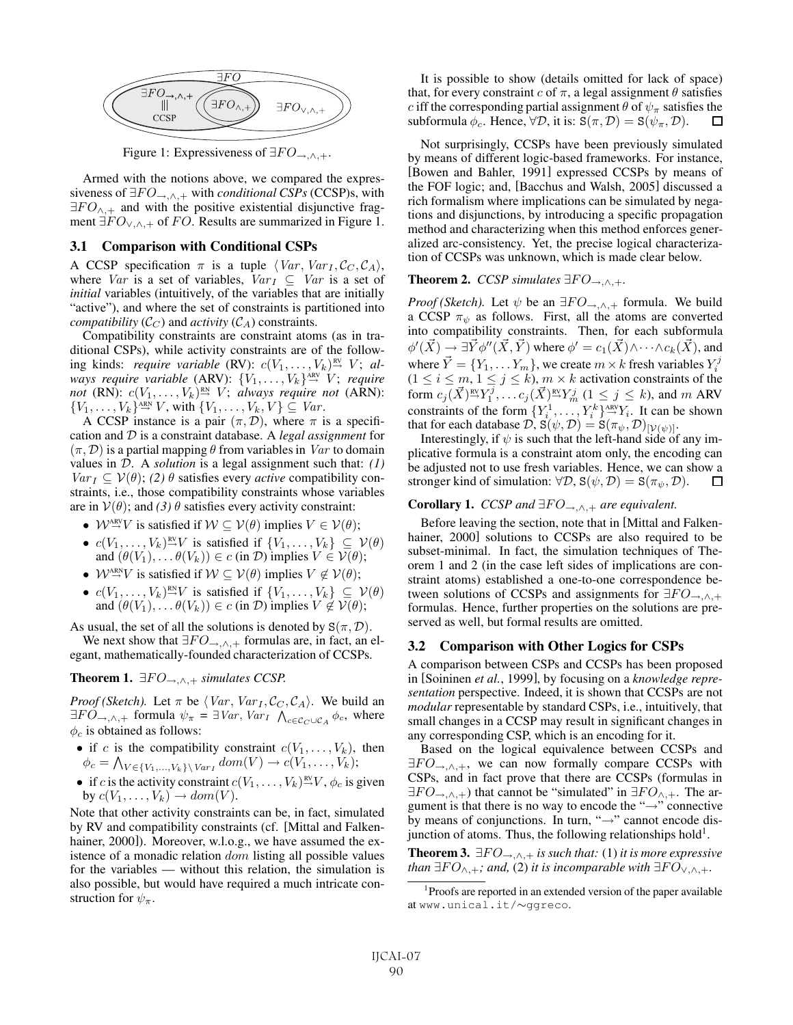

Figure 1: Expressiveness of  $\exists FO_{\rightarrow,\wedge,+}$ .

Armed with the notions above, we compared the expressiveness of  $\exists FO_{\rightarrow,\wedge,+}$  with *conditional CSPs* (CCSP)s, with  $\exists FO_{\wedge,+}$  and with the positive existential disjunctive fragment  $\exists FO_{\vee,\wedge,+}$  of FO. Results are summarized in Figure 1.

#### 3.1 Comparison with Conditional CSPs

A CCSP specification  $\pi$  is a tuple  $\langle Var, Var_I, C_C, C_A \rangle$ , where Var is a set of variables, Var $_I \subseteq Var$  is a set of *initial* variables (intuitively, of the variables that are initially "active"), and where the set of constraints is partitioned into *compatibility*  $(C_C)$  and *activity*  $(C_A)$  constraints.

Compatibility constraints are constraint atoms (as in traditional CSPs), while activity constraints are of the following kinds: *require variable* (RV):  $c(V_1, \ldots, V_k)$ <sup>RV</sup> V; always require variable (ARV):  $\{V_1, \ldots, V_k\}^{\texttt{ARV}} \to V$ ; require *not* (RN):  $c(V_1, \ldots, V_k)$ <sup>RN</sup>  $V$ ; *always require not* (ARN):  $\{V_1,\ldots,V_k\}^{\text{ARN}}$  V, with  $\{V_1,\ldots,V_k,V\} \subseteq Var$ .

A CCSP instance is a pair  $(\pi, \mathcal{D})$ , where  $\pi$  is a specification and D is a constraint database. A *legal assignment* for  $(\pi, \mathcal{D})$  is a partial mapping  $\theta$  from variables in *Var* to domain values in D. A *solution* is a legal assignment such that: *(1)*  $Var_I \subseteq V(\theta)$ ; (2)  $\theta$  satisfies every *active* compatibility constraints, i.e., those compatibility constraints whose variables are in  $V(\theta)$ ; and *(3)*  $\theta$  satisfies every activity constraint:

- $W^{\text{ARY}} \to V$  is satisfied if  $W \subseteq V(\theta)$  implies  $V \in V(\theta)$ ;
- $c(V_1,\ldots,V_k) \stackrel{\text{RV}}{\rightarrow} V$  is satisfied if  $\{V_1,\ldots,V_k\} \subseteq V(\theta)$ and  $(\theta(V_1), \ldots \theta(V_k)) \in c$  (in  $\mathcal{D}$ ) implies  $V \in \mathcal{V}(\theta)$ ;
- $W^{\text{ARN}}_{\rightarrow} V$  is satisfied if  $W \subseteq V(\theta)$  implies  $V \notin V(\theta)$ ;
- $c(V_1,\ldots,V_k) \stackrel{\text{RN}}{\rightarrow} V$  is satisfied if  $\{V_1,\ldots,V_k\} \subseteq V(\theta)$ and  $(\theta(V_1), \dots \theta(V_k)) \in c$  (in D) implies  $V \notin V(\theta)$ ;

As usual, the set of all the solutions is denoted by  $S(\pi, \mathcal{D})$ .

We next show that  $\exists FO_{\rightarrow,\wedge,+}$  formulas are, in fact, an elegant, mathematically-founded characterization of CCSPs.

**Theorem 1.**  $\exists FO_{\rightarrow,\wedge,+}$  *simulates CCSP.* 

*Proof (Sketch).* Let  $\pi$  be  $\langle Var, Var_I, C_C, C_A \rangle$ . We build an  $\exists FO_{\rightarrow,\wedge,+}$  formula  $\psi_{\pi} = \exists Var, Var_I \wedge_{c \in C_C \cup C_A} \phi_c$ , where  $\phi_c$  is obtained as follows:

- if c is the compatibility constraint  $c(V_1, \ldots, V_k)$ , then  $\phi_c = \bigwedge_{V \in \{V_1, ..., V_k\} \backslash \text{Var}_I} dom(V) \rightarrow c(V_1, ..., V_k);$
- if c is the activity constraint  $c(V_1,\ldots,V_k)^{nv}$ ,  $\phi_c$  is given by  $c(V_1,\ldots,V_k) \to dom(V)$ .

Note that other activity constraints can be, in fact, simulated by RV and compatibility constraints (cf. [Mittal and Falkenhainer, 2000]). Moreover, w.l.o.g., we have assumed the existence of a monadic relation dom listing all possible values for the variables — without this relation, the simulation is also possible, but would have required a much intricate construction for  $\psi_{\pi}$ .

It is possible to show (details omitted for lack of space) that, for every constraint c of  $\pi$ , a legal assignment  $\theta$  satisfies c iff the corresponding partial assignment  $\theta$  of  $\psi_{\pi}$  satisfies the subformula  $\phi_c$ . Hence,  $\forall \mathcal{D}$ , it is:  $S(\pi, \mathcal{D}) = S(\psi_\pi, \mathcal{D})$ . 口

Not surprisingly, CCSPs have been previously simulated by means of different logic-based frameworks. For instance, [Bowen and Bahler, 1991] expressed CCSPs by means of the FOF logic; and, [Bacchus and Walsh, 2005] discussed a rich formalism where implications can be simulated by negations and disjunctions, by introducing a specific propagation method and characterizing when this method enforces generalized arc-consistency. Yet, the precise logical characterization of CCSPs was unknown, which is made clear below.

#### **Theorem 2.** *CCSP simulates*  $\exists FO \rightarrow \land +$ .

*Proof (Sketch).* Let  $\psi$  be an  $\exists FO_{\rightarrow,\wedge,+}$  formula. We build a CCSP  $\pi_{\psi}$  as follows. First, all the atoms are converted into compatibility constraints. Then, for each subformula  $\phi'(\vec{X}) \to \exists \vec{Y} \phi''(\vec{X}, \vec{Y})$  where  $\phi' = c_1(\vec{X}) \wedge \cdots \wedge c_k(\vec{X})$ , and where  $\vec{Y} = \{Y_1, \dots Y_m\}$ , we create  $m \times k$  fresh variables  $Y_i^j$  $(1 \le i \le m, 1 \le j \le k), m \times k$  activation constraints of the form  $c_j(\vec{X})^{\text{RV}}_j Y^j_1, \ldots c_j(\vec{X})^{\text{RV}}_j Y^j_m$   $(1 \le j \le k)$ , and  $m$  ARV constraints of the form  $\{Y_i^1, \ldots, Y_i^k\} \stackrel{\text{ARV}}{\rightarrow} Y_i$ . It can be shown that for each database  $\mathcal{D}, S(\psi, \mathcal{D}) = S(\pi_{\psi}, \mathcal{D})_{[\mathcal{V}(\psi)]}.$ 

Interestingly, if  $\psi$  is such that the left-hand side of any implicative formula is a constraint atom only, the encoding can be adjusted not to use fresh variables. Hence, we can show a stronger kind of simulation:  $\forall \mathcal{D}, S(\psi, \mathcal{D}) = S(\pi_{\psi}, \mathcal{D}).$ □

#### **Corollary 1.** *CCSP and*  $\exists FO_{\rightarrow,\wedge,+}$  *are equivalent.*

Before leaving the section, note that in [Mittal and Falkenhainer, 2000] solutions to CCSPs are also required to be subset-minimal. In fact, the simulation techniques of Theorem 1 and 2 (in the case left sides of implications are constraint atoms) established a one-to-one correspondence between solutions of CCSPs and assignments for  $\exists F O_{\rightarrow,\wedge,+}$ formulas. Hence, further properties on the solutions are preserved as well, but formal results are omitted.

#### 3.2 Comparison with Other Logics for CSPs

A comparison between CSPs and CCSPs has been proposed in [Soininen *et al.*, 1999], by focusing on a *knowledge representation* perspective. Indeed, it is shown that CCSPs are not *modular* representable by standard CSPs, i.e., intuitively, that small changes in a CCSP may result in significant changes in any corresponding CSP, which is an encoding for it.

Based on the logical equivalence between CCSPs and  $\exists FO_{\rightarrow,\wedge,+}$ , we can now formally compare CCSPs with CSPs, and in fact prove that there are CCSPs (formulas in  $\exists FO_{\rightarrow,\wedge,+}$ ) that cannot be "simulated" in  $\exists FO_{\wedge,+}$ . The argument is that there is no way to encode the "→" connective by means of conjunctions. In turn, "→" cannot encode disjunction of atoms. Thus, the following relationships hold<sup>1</sup>.

**Theorem 3.**  $\exists FO_{\rightarrow,\wedge,+}$  *is such that:* (1) *it is more expressive than*  $\exists FO_{\wedge,+}$ *; and,* (2) *it is incomparable with*  $\exists FO_{\vee,\wedge,+}$ *.* 

<sup>1</sup> Proofs are reported in an extended version of the paper available at www.unical.it/∼ggreco.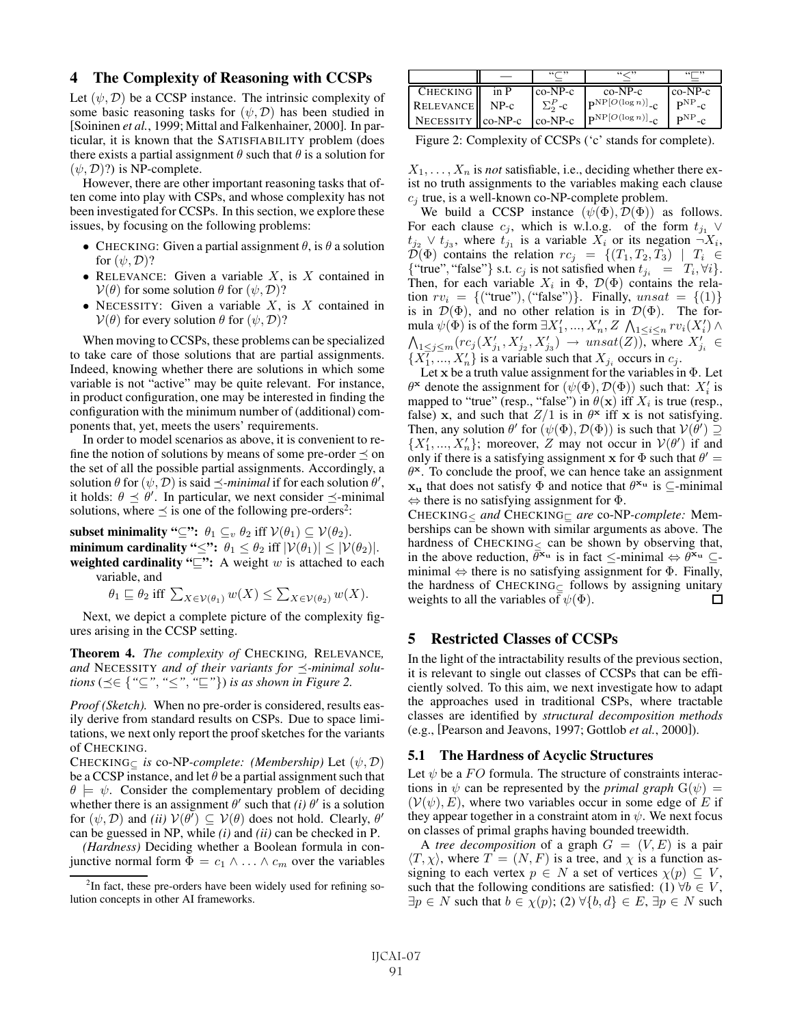### 4 The Complexity of Reasoning with CCSPs

Let  $(\psi, \mathcal{D})$  be a CCSP instance. The intrinsic complexity of some basic reasoning tasks for  $(\psi, \mathcal{D})$  has been studied in [Soininen *et al.*, 1999; Mittal and Falkenhainer, 2000]. In particular, it is known that the SATISFIABILITY problem (does there exists a partial assignment  $\theta$  such that  $\theta$  is a solution for  $(\psi, \mathcal{D})$ ?) is NP-complete.

However, there are other important reasoning tasks that often come into play with CSPs, and whose complexity has not been investigated for CCSPs. In this section, we explore these issues, by focusing on the following problems:

- CHECKING: Given a partial assignment  $\theta$ , is  $\theta$  a solution for  $(\psi, \mathcal{D})$ ?
- RELEVANCE: Given a variable  $X$ , is  $X$  contained in  $V(\theta)$  for some solution  $\theta$  for  $(\psi, \mathcal{D})$ ?
- NECESSITY: Given a variable  $X$ , is  $X$  contained in  $V(\theta)$  for every solution  $\theta$  for  $(\psi, \mathcal{D})$ ?

When moving to CCSPs, these problems can be specialized to take care of those solutions that are partial assignments. Indeed, knowing whether there are solutions in which some variable is not "active" may be quite relevant. For instance, in product configuration, one may be interested in finding the configuration with the minimum number of (additional) components that, yet, meets the users' requirements.

In order to model scenarios as above, it is convenient to refine the notion of solutions by means of some pre-order  $\prec$  on the set of all the possible partial assignments. Accordingly, a solution  $\theta$  for  $(\psi, \mathcal{D})$  is said  $\preceq$ -*minimal* if for each solution  $\theta'$ , it holds:  $\theta \preceq \theta'$ . In particular, we next consider  $\preceq$ -minimal solutions, where  $\preceq$  is one of the following pre-orders<sup>2</sup>:

subset minimality " $\subseteq$ ":  $\theta_1 \subseteq_v \theta_2$  iff  $V(\theta_1) \subseteq V(\theta_2)$ . minimum cardinality "≤":  $\theta_1 \leq \theta_2$  iff  $|\mathcal{V}(\theta_1)| \leq |\mathcal{V}(\theta_2)|$ . weighted cardinality " $\subseteq$ ": A weight w is attached to each variable, and

 $\theta_1 \sqsubseteq \theta_2$  iff  $\sum_{X \in \mathcal{V}(\theta_1)} w(X) \leq \sum_{X \in \mathcal{V}(\theta_2)} w(X)$ .

Next, we depict a complete picture of the complexity figures arising in the CCSP setting.

Theorem 4. *The complexity of* CHECKING*,* RELEVANCE*, and* NECESSITY *and of their variants for -minimal solutions* ( $\preceq \in \{$  " $\subseteq$ ", " $\leq$ ", " $\subseteq$ "}) *is as shown in Figure 2.* 

*Proof (Sketch).* When no pre-order is considered, results easily derive from standard results on CSPs. Due to space limitations, we next only report the proof sketches for the variants of CHECKING.

CHECKING<sup>⊆</sup> *is* co-NP*-complete: (Membership)* Let (ψ, D) be a CCSP instance, and let  $\theta$  be a partial assignment such that  $\theta \models \psi$ . Consider the complementary problem of deciding whether there is an assignment  $\theta'$  such that *(i)*  $\theta'$  is a solution for  $(\psi, \mathcal{D})$  and *(ii)*  $\mathcal{V}(\theta') \subseteq \mathcal{V}(\theta)$  does not hold. Clearly,  $\theta'$ can be guessed in NP, while *(i)* and *(ii)* can be checked in P.

*(Hardness)* Deciding whether a Boolean formula in conjunctive normal form  $\Phi = c_1 \wedge \ldots \wedge c_m$  over the variables

|                      |      |                 | دد سر ،،                                   | $55 - 32$    |
|----------------------|------|-----------------|--------------------------------------------|--------------|
| <b>CHECKING</b>      | in P | $co-NP-c$       | $co-NP-c$                                  | $co-NP-c$    |
| <b>RELEVANCE</b>     | NP-c | $\Sigma_2^P$ -c | $\mathbf{p}^{NP}[O(\log n)]$ <sub>-C</sub> | $P^{NP} - C$ |
| NECESSITY    co-NP-c |      | $co-NP-c$       | $\mathbf{p}^{NP}[O(\log n)]$ <sub>-C</sub> | nNP          |

Figure 2: Complexity of CCSPs ('c' stands for complete).

 $X_1, \ldots, X_n$  is *not* satisfiable, i.e., deciding whether there exist no truth assignments to the variables making each clause  $c_j$  true, is a well-known co-NP-complete problem.

We build a CCSP instance  $(\psi(\Phi), \mathcal{D}(\Phi))$  as follows. For each clause  $c_j$ , which is w.l.o.g. of the form  $t_{j_1} \vee$  $t_{j2} \vee t_{j3}$ , where  $t_{j1}$  is a variable  $X_i$  or its negation  $\neg X_i$ ,  $\mathcal{D}(\Phi)$  contains the relation  $rc_j = \{(T_1, T_2, T_3) \mid T_i \in$ {"true", "false"} s.t.  $c_j$  is not satisfied when  $t_{j_i} = T_i, \forall i$  }. Then, for each variable  $X_i$  in  $\Phi$ ,  $\mathcal{D}(\Phi)$  contains the relation  $rv_i = \{("true"), ("false")\}$ . Finally,  $unsat = \{(1)\}$ is in  $\mathcal{D}(\Phi)$ , and no other relation is in  $\mathcal{D}(\Phi)$ . The formula  $\psi(\Phi)$  is of the form  $\exists X'_1, ..., X'_n, Z \bigwedge_{1 \leq i \leq n} rv_i(X'_i) \wedge$  $\bigwedge_{1 \leq j \leq m} (rc_j(X'_{j_1}, X'_{j_2}, X'_{j_3}) \rightarrow \text{unsat}(Z))$ , where  $X'_{j_i} \in$  $\{X_1^{\tau}, ..., X_n^{\tau}\}\$ is a variable such that  $X_{j_i}$  occurs in  $c_j$ .

Let **x** be a truth value assignment for the variables in Φ. Let  $\theta^{\mathbf{x}}$  denote the assignment for  $(\psi(\Phi), \mathcal{D}(\Phi))$  such that:  $X_i'$  is mapped to "true" (resp., "false") in  $\theta(\mathbf{x})$  iff  $X_i$  is true (resp., false) **x**, and such that  $Z/1$  is in  $\theta$ **x** iff **x** is not satisfying. Then, any solution  $\theta'$  for  $(\psi(\Phi), \mathcal{D}(\Phi))$  is such that  $\mathcal{V}(\theta') \supseteq$  $\{X'_1, ..., X'_n\}$ ; moreover, Z may not occur in  $V(\theta')$  if and only if there is a satisfying assignment **x** for  $\Phi$  such that  $\theta' =$  $\theta^{\mathbf{x}}$ . To conclude the proof, we can hence take an assignment **xu** that does not satisfy  $\Phi$  and notice that  $\theta^{\mathbf{x}_u}$  is  $\subseteq$ -minimal  $\Leftrightarrow$  there is no satisfying assignment for  $\Phi$ .

CHECKING< and CHECKING<sub>□</sub> are co-NP-complete: Memberships can be shown with similar arguments as above. The hardness of  $CHECKING<sub>5</sub>$  can be shown by observing that, in the above reduction,  $\bar{\theta}^{\mathbf{x}_{\mathbf{u}}}$  is in fact <-minimal  $\Leftrightarrow \theta^{\mathbf{x}_{\mathbf{u}}}$   $\subset$ minimal  $\Leftrightarrow$  there is no satisfying assignment for  $\Phi$ . Finally, the hardness of CHECKING $\subset$  follows by assigning unitary weights to all the variables of  $\psi(\Phi)$ . П

# 5 Restricted Classes of CCSPs

In the light of the intractability results of the previous section, it is relevant to single out classes of CCSPs that can be efficiently solved. To this aim, we next investigate how to adapt the approaches used in traditional CSPs, where tractable classes are identified by *structural decomposition methods* (e.g., [Pearson and Jeavons, 1997; Gottlob *et al.*, 2000]).

#### 5.1 The Hardness of Acyclic Structures

Let  $\psi$  be a FO formula. The structure of constraints interactions in  $\psi$  can be represented by the *primal graph*  $G(\psi)$  =  $(V(\psi), E)$ , where two variables occur in some edge of E if they appear together in a constraint atom in  $\psi$ . We next focus on classes of primal graphs having bounded treewidth.

A *tree decomposition* of a graph  $G = (V, E)$  is a pair  $\langle T,\chi\rangle$ , where  $T = (N,F)$  is a tree, and  $\chi$  is a function assigning to each vertex  $p \in N$  a set of vertices  $\chi(p) \subseteq V$ , such that the following conditions are satisfied: (1)  $\forall b \in V$ ,  $\exists p \in N$  such that  $b \in \chi(p)$ ; (2)  $\forall \{b, d\} \in E$ ,  $\exists p \in N$  such

 $2$ In fact, these pre-orders have been widely used for refining solution concepts in other AI frameworks.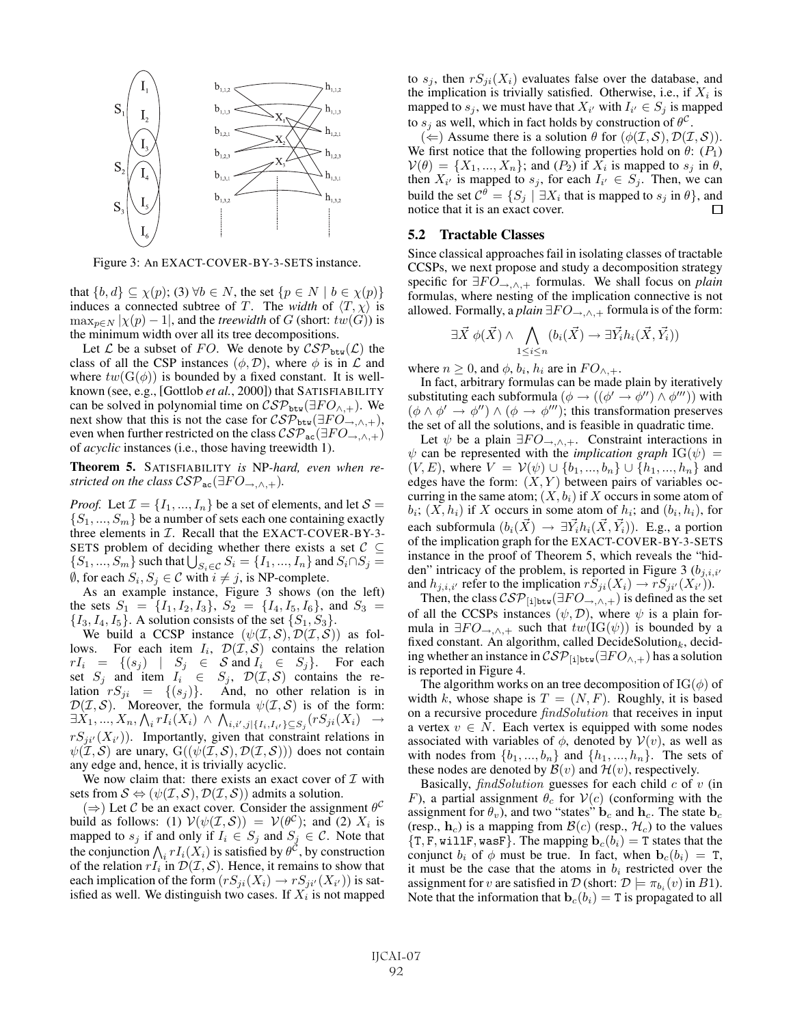

Figure 3: An EXACT-COVER-BY-3-SETS instance.

that  $\{b, d\} \subseteq \chi(p)$ ; (3)  $\forall b \in N$ , the set  $\{p \in N \mid b \in \chi(p)\}\$ induces a connected subtree of T. The *width* of  $\langle T, \chi \rangle$  is  $\max_{p \in N} |\chi(p) - 1|$ , and the *treewidth* of G (short:  $tw(G)$ ) is the minimum width over all its tree decompositions.

Let L be a subset of FO. We denote by  $\mathcal{CSP}_{\text{btw}}(\mathcal{L})$  the class of all the CSP instances  $(\phi, \mathcal{D})$ , where  $\phi$  is in  $\mathcal L$  and where  $tw(G(\phi))$  is bounded by a fixed constant. It is wellknown (see, e.g., [Gottlob *et al.*, 2000]) that SATISFIABILITY can be solved in polynomial time on  $\mathcal{CSP}_{\text{btw}}(\exists FO_{\wedge,+})$ . We next show that this is not the case for  $\mathcal{CSP}_{\text{btw}}(\exists FO_{\rightarrow,\wedge,+}),$ even when further restricted on the class  $\mathcal{CSP}_{ac}(\exists FO_{\rightarrow,\wedge,+})$ of *acyclic* instances (i.e., those having treewidth 1).

Theorem 5. SATISFIABILITY *is* NP*-hard, even when restricted on the class*  $\mathcal{CSP}_{ac}(\exists FO_{\rightarrow,\wedge,+}).$ 

*Proof.* Let  $\mathcal{I} = \{I_1, ..., I_n\}$  be a set of elements, and let  $\mathcal{S} =$  $\{S_1, ..., S_m\}$  be a number of sets each one containing exactly three elements in  $I$ . Recall that the EXACT-COVER-BY-3-SETS problem of deciding whether there exists a set  $C \subseteq$  $\{S_1, ..., S_m\}$  such that  $\bigcup_{S_i \in \mathcal{C}} S_i = \{I_1, ..., I_n\}$  and  $S_i \cap S_j =$  $\emptyset$ , for each  $S_i, S_j \in \mathcal{C}$  with  $i \neq j$ , is NP-complete.

As an example instance, Figure 3 shows (on the left) the sets  $S_1 = \{I_1, I_2, I_3\}$ ,  $S_2 = \{I_4, I_5, I_6\}$ , and  $S_3 =$  $\{I_3, I_4, I_5\}$ . A solution consists of the set  $\{S_1, S_3\}$ .

We build a CCSP instance  $(\psi(\mathcal{I}, \mathcal{S}), \mathcal{D}(\mathcal{I}, \mathcal{S}))$  as follows. For each item  $I_i$ ,  $\mathcal{D}(\mathcal{I}, \mathcal{S})$  contains the relation  $rI_i = \{(s_j) \mid S_j \in S \text{ and } I_i \in S_j\}.$  For each set  $S_j$  and item  $I_i \in S_j$ ,  $\mathcal{D}(\mathcal{I}, \mathcal{S})$  contains the relation  $rS_{ji} = \{(s_j)\}\$ . And, no other relation is in And, no other relation is in  $\mathcal{D}(\mathcal{I}, \mathcal{S})$ . Moreover, the formula  $\psi(\mathcal{I}, \mathcal{S})$  is of the form:  $\exists X_1, ..., X_n, \bigwedge_i r I_i(X_i) \ \wedge \ \bigwedge_{i,i',j|\{I_i,I_{i'}\} \subseteq S_j} (rS_{ji}(X_i) \rightarrow$  $rS_{ji'}(X_{i'})$ ). Importantly, given that constraint relations in  $\psi(\mathcal{I}, \mathcal{S})$  are unary,  $G((\psi(\mathcal{I}, \mathcal{S}), \mathcal{D}(\mathcal{I}, \mathcal{S})))$  does not contain any edge and, hence, it is trivially acyclic.

We now claim that: there exists an exact cover of  $\mathcal I$  with sets from  $S \Leftrightarrow (\psi(\mathcal{I}, S), \mathcal{D}(\mathcal{I}, S))$  admits a solution.

 $(\Rightarrow)$  Let C be an exact cover. Consider the assignment  $\theta^C$ build as follows: (1)  $V(\psi(\mathcal{I}, \mathcal{S})) = V(\theta^{\mathcal{C}})$ ; and (2)  $X_i$  is mapped to  $s_j$  if and only if  $I_i \in S_j$  and  $S_j \in \mathcal{C}$ . Note that the conjunction  $\bigwedge_i rI_i(X_i)$  is satisfied by  $\theta^{\mathcal{C}}$ , by construction of the relation  $rI_i$  in  $\mathcal{D}(\mathcal{I}, \mathcal{S})$ . Hence, it remains to show that each implication of the form  $(rS_{ji}(X_i) \rightarrow rS_{ji'}(X_{i'}))$  is satisfied as well. We distinguish two cases. If  $X_i$  is not mapped to  $s_j$ , then  $rS_{ji}(X_i)$  evaluates false over the database, and the implication is trivially satisfied. Otherwise, i.e., if  $X_i$  is mapped to  $s_j$ , we must have that  $X_{i'}$  with  $I_{i'} \in S_j$  is mapped to  $s_i$  as well, which in fact holds by construction of  $\theta^C$ .

 $(\Leftarrow)$  Assume there is a solution  $\theta$  for  $(\phi(\mathcal{I}, \mathcal{S}), \mathcal{D}(\mathcal{I}, \mathcal{S}))$ . We first notice that the following properties hold on  $\theta$ :  $(P_1)$  $V(\theta) = \{X_1, ..., X_n\}$ ; and  $(P_2)$  if  $X_i$  is mapped to  $s_i$  in  $\theta$ , then  $X_{i'}$  is mapped to  $s_j$ , for each  $I_{i'} \in S_j$ . Then, we can build the set  $\mathcal{C}^{\theta} = \{S_j \mid \exists X_i \text{ that is mapped to } s_j \text{ in } \theta\}$ , and notice that it is an exact cover.  $\Box$ 

#### 5.2 Tractable Classes

Since classical approaches fail in isolating classes of tractable CCSPs, we next propose and study a decomposition strategy specific for  $\exists FO_{\rightarrow,\wedge,+}$  formulas. We shall focus on *plain* formulas, where nesting of the implication connective is not allowed. Formally, a *plain*  $\exists FO_{\rightarrow,\wedge,+}$  formula is of the form:

$$
\exists \vec{X} \; \phi(\vec{X}) \land \bigwedge_{1 \leq i \leq n} (b_i(\vec{X}) \rightarrow \exists \vec{Y_i} h_i(\vec{X}, \vec{Y_i}))
$$

where  $n \geq 0$ , and  $\phi$ ,  $b_i$ ,  $h_i$  are in  $FO_{\wedge,+}$ .

In fact, arbitrary formulas can be made plain by iteratively substituting each subformula ( $\phi \rightarrow ((\phi' \rightarrow \phi'') \land \phi''')$ ) with  $(\phi \land \phi' \rightarrow \phi'') \land (\phi \rightarrow \phi''')$ ; this transformation preserves the set of all the solutions, and is feasible in quadratic time.

Let  $\psi$  be a plain  $\exists F O_{\rightarrow,\wedge,+}$ . Constraint interactions in  $\psi$  can be represented with the *implication graph* IG( $\psi$ ) =  $(V, E)$ , where  $V = V(\psi) \cup \{b_1, ..., b_n\} \cup \{h_1, ..., h_n\}$  and edges have the form:  $(X, Y)$  between pairs of variables occurring in the same atom;  $(X, b_i)$  if X occurs in some atom of  $b_i$ ;  $(X, h_i)$  if X occurs in some atom of  $h_i$ ; and  $(b_i, h_i)$ , for each subformula  $(b_i(\vec{X}) \rightarrow \exists \vec{Y_i} h_i(\vec{X}, \vec{Y_i})$ ). E.g., a portion of the implication graph for the EXACT-COVER-BY-3-SETS instance in the proof of Theorem 5, which reveals the "hidden" intricacy of the problem, is reported in Figure 3  $(b_{j,i,i'}$ and  $h_{j,i,i'}$  refer to the implication  $rS_{ji}(X_i) \to rS_{ji'}(X_{i'}).$ 

Then, the class  $\mathcal{CSP}_{[i]btw}(\exists FO_{\rightarrow,\wedge,+})$  is defined as the set of all the CCSPs instances  $(\psi, \mathcal{D})$ , where  $\psi$  is a plain formula in  $\exists FO_{\rightarrow,\wedge,+}$  such that  $tw(\text{IG}(\psi))$  is bounded by a fixed constant. An algorithm, called DecideSolution $_k$ , deciding whether an instance in  $\mathcal{CSP}_{\text{lightw}}(\exists FO_{\wedge,+})$  has a solution is reported in Figure 4.

The algorithm works on an tree decomposition of  $IG(\phi)$  of width k, whose shape is  $T = (N, F)$ . Roughly, it is based on a recursive procedure findSolution that receives in input a vertex  $v \in N$ . Each vertex is equipped with some nodes associated with variables of  $\phi$ , denoted by  $V(v)$ , as well as with nodes from  $\{b_1, ..., b_n\}$  and  $\{h_1, ..., h_n\}$ . The sets of these nodes are denoted by  $\mathcal{B}(v)$  and  $\mathcal{H}(v)$ , respectively.

Basically,  $findSolution$  guesses for each child  $c$  of  $v$  (in F), a partial assignment  $\theta_c$  for  $V(c)$  (conforming with the assignment for  $\theta_v$ ), and two "states"  $\mathbf{b}_c$  and  $\mathbf{h}_c$ . The state  $\mathbf{b}_c$ (resp.,  $\mathbf{h}_c$ ) is a mapping from  $\mathcal{B}(c)$  (resp.,  $\mathcal{H}_c$ ) to the values  ${T, F, willlF, wasF}.$  The mapping  ${\bf b}_c(b_i) = T$  states that the conjunct  $b_i$  of  $\phi$  must be true. In fact, when  $\mathbf{b}_c(b_i) = \mathbf{T}$ , it must be the case that the atoms in  $b_i$  restricted over the assignment for v are satisfied in  $\mathcal{D}$  (short:  $\mathcal{D} \models \pi_{b_i}(v)$  in B1). Note that the information that  $\mathbf{b}_c(b_i) = \mathbf{T}$  is propagated to all